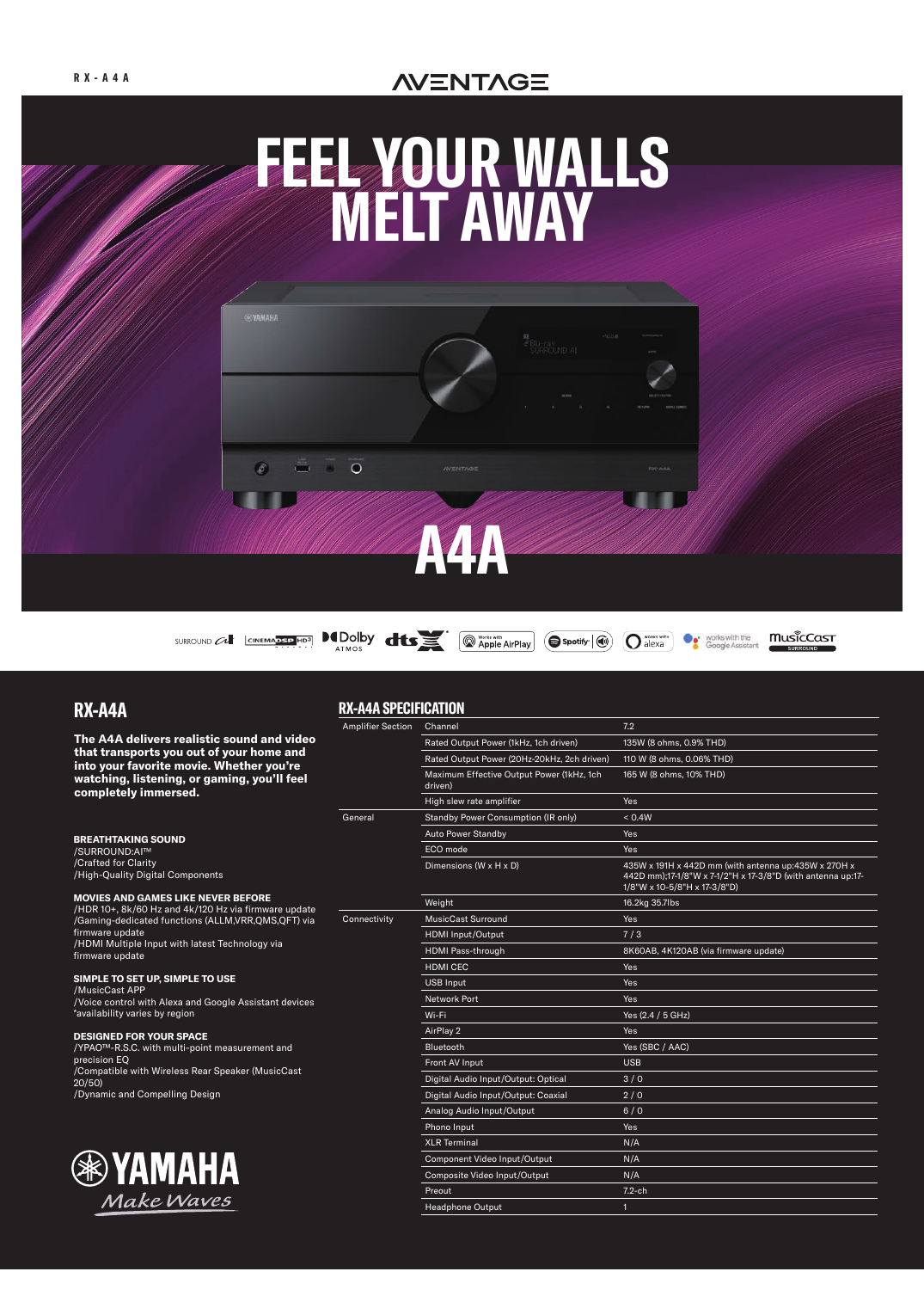# **NENTAGE**



**RX-A4A SPECIFICATION**

# **RX-A4A**

**The A4A delivers realistic sound and video that transports you out of your home and into your favorite movie. Whether you're watching, listening, or gaming, you'll feel completely immersed.**

#### **BREATHTAKING SOUND**

/SURROUND:AI™ /Crafted for Clarity /High-Quality Digital Components

#### **MOVIES AND GAMES LIKE NEVER BEFORE**

/HDR 10+, 8k/60 Hz and 4k/120 Hz via firmware update /Gaming-dedicated functions (ALLM,VRR,QMS,QFT) via firmware update /HDMI Multiple Input with latest Technology via firmware update

#### **SIMPLE TO SET UP, SIMPLE TO USE**

/MusicCast APP /Voice control with Alexa and Google Assistant devices \*availability varies by region

#### **DESIGNED FOR YOUR SPACE**

/YPAO™-R.S.C. with multi-point measurement and precision EQ /Compatible with Wireless Rear Speaker (MusicCast 20/50) /Dynamic and Compelling Design



#### Amplifier Section Channel 7.2 Rated Output Power (1kHz, 1ch driven) 135W (8 ohms, 0.9% THD) Rated Output Power (20Hz-20kHz, 2ch driven) 110 W (8 ohms, 0.06% THD) Maximum Effective Output Power (1kHz, 1ch driven) 165 W (8 ohms, 10% THD) High slew rate amplifier **Yes** General Standby Power Consumption (IR only) <  $0.4W$ Auto Power Standby **Yes** ECO mode Yes Dimensions (W x H x D) 435W x 191H x 442D mm (with antenna up:435W x 270H x 442D mm);17-1/8"W x 7-1/2"H x 17-3/8"D (with antenna up:17- 1/8"W x 10-5/8"H x 17-3/8"D) weight 16.2kg 35.7lbs Connectivity MusicCast Surround MusicCast Surround Ves HDMI Input/Output 7/3 HDMI Pass-through 8K60AB, 4K120AB (via firmware update) **HDMI CEC** Yes USB Input Yes **Network Port Xing Communist Port Xing Communist Port Xing Communist Port Xing Communist Port Xing Communist Po** Wi-Fi Yes (2.4 / 5 GHz) AirPlay 2 Yes Bluetooth Yes (SBC / AAC) Front AV Input USB Digital Audio Input/Output: Optical 3/0 Digital Audio Input/Output: Coaxial 2/0 Analog Audio Input/Output 6/0 Phono Input Yes XLR Terminal N/A Component Video Input/Output N/A Composite Video Input/Output N/A Preout 7.2-ch Headphone Output 1 and 1 and 1 and 1 and 1 and 1 and 1 and 1 and 1 and 1 and 1 and 1 and 1 and 1 and 1 and 1 and 1 and 1 and 1 and 1 and 1 and 1 and 1 and 1 and 1 and 1 and 1 and 1 and 1 and 1 and 1 and 1 and 1 and 1 and 1